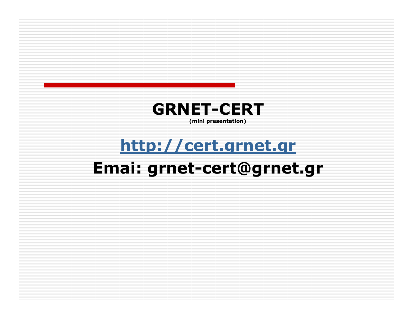

### http://cert.grnet.grEmai: grnet-cert@grnet.gr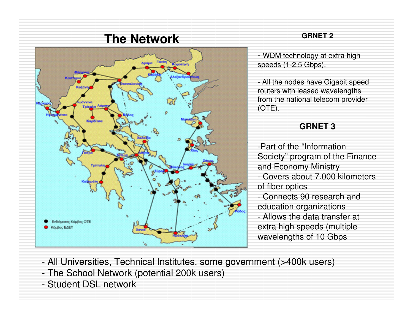

#### **GRNET 2**

- WDM technology at extra high speeds (1-2,5 Gbps).

- All the nodes have Gigabit speed routers with leased wavelengths from the national telecom provider (OTE).

### **GRNET 3**

-Part of the "Information Society" program of the Finance and Economy Ministry - Covers about 7.000 kilometers of fiber optics - Connects 90 research and education organizations - Allows the data transfer at extra high speeds (multiple wavelengths of 10 Gbps

- All Universities, Technical Institutes, some government (>400k users)
- The School Network (potential 200k users)
- Student DSL network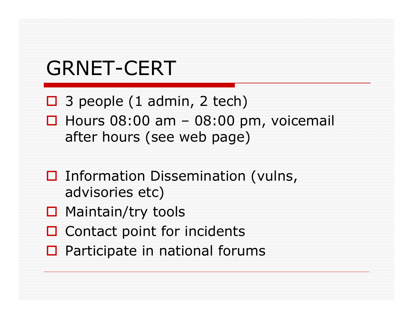## GRNET-CERT

- □ 3 people (1 admin, 2 tech)
- $\Box$  Hours 08:00 am 08:00 pm, voicemail after hours (see web nage) after hours (see web page)
- $\Box$  Information Dissemination (vulns, advisories etc)
- □ Maintain/try tools
- □ Contact point for incidents
- $\Box$  Participate in national forums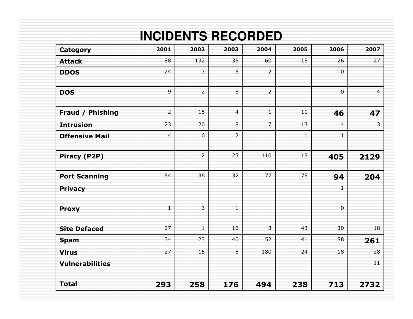### **INCIDENTS RECORDED**

| Category               | 2001           | 2002           | 2003           | 2004           | 2005         | 2006           | 2007           |
|------------------------|----------------|----------------|----------------|----------------|--------------|----------------|----------------|
| <b>Attack</b>          | 88             | 132            | 35             | 60             | 15           | 26             | 27             |
| <b>DDOS</b>            | 24             | $\overline{3}$ | 5              | $\overline{2}$ |              | $\overline{0}$ |                |
| <b>DOS</b>             | $\overline{9}$ | $\overline{2}$ | 5              | $\overline{2}$ |              | $\mathbf 0$    | $\overline{4}$ |
| Fraud / Phishing       | $\overline{2}$ | 15             | 4              | $\mathbf{1}$   | 11           | 46             | 47             |
| <b>Intrusion</b>       | 23             | 20             | 8              | $\overline{7}$ | 13           | $\overline{4}$ | $\mathbf{3}$   |
| <b>Offensive Mail</b>  | $\overline{4}$ | 6              | $\overline{2}$ |                | $\mathbf{1}$ | $\mathbf{1}$   |                |
| Piracy (P2P)           |                | $\overline{2}$ | 23             | 110            | 15           | 405            | 2129           |
| <b>Port Scanning</b>   | 54             | 36             | 32             | 77             | 75           | 94             | 204            |
| <b>Privacy</b>         |                |                |                |                |              | $\mathbf{1}$   |                |
| <b>Proxy</b>           | $\mathbf{1}$   | $\overline{3}$ | $\mathbf{1}$   |                |              | $\overline{0}$ |                |
| <b>Site Defaced</b>    | 27             | $\overline{1}$ | 16             | $\overline{3}$ | 43           | 30             | 18             |
| <b>Spam</b>            | 34             | 23             | 40             | 52             | 41           | 88             | 261            |
| <b>Virus</b>           | 27             | 15             | 5              | 180            | 24           | 18             | 28             |
| <b>Vulnerabilities</b> |                |                |                |                |              |                | 11             |
| <b>Total</b>           | 293            | 258            | 176            | 494            | 238          | 713            | 2732           |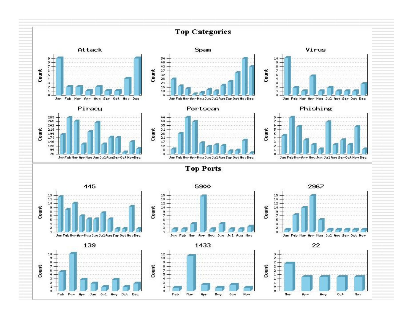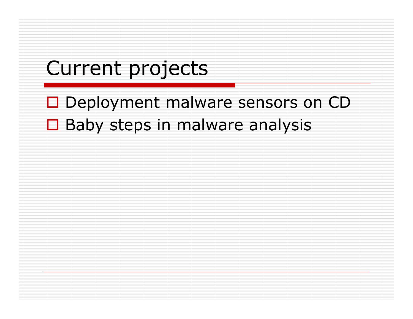### Current projects

# □ Deployment malware sensors on CD □ Baby steps in malware analysis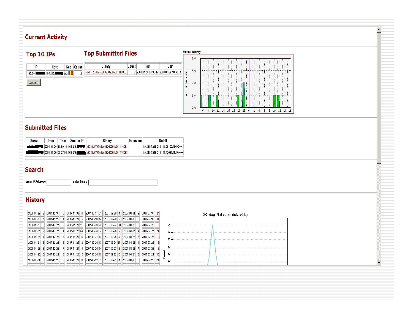#### **Current Activity**



#### **Submitted Files**

| Sensor | Date                        | Time. | Source IP | Binary                                                               | <b>Detection</b> | Detail                                  |
|--------|-----------------------------|-------|-----------|----------------------------------------------------------------------|------------------|-----------------------------------------|
|        |                             |       |           | 12008-01-29 10:50:14 195.246 22 23 43781 d5747a5bd632d0966e061416088 |                  | link: //195 246 246 141: 25492/fTrIPQ== |
|        | 2008-01-29 09:27:04 195.246 |       |           | la3781d5747a5bd632d0966e061416088                                    |                  | link: //195.246.246.141:47981/fTolAw==  |

enter Binary

#### **Search**

enter IP Address

#### **History**

| $ 2008-01-29 $ . | 2007-12-31              | 2007-11-30    | 4 2007-10-31 21            | 2007-09-29 11                             | 2007-08-31   | 2007-07-31 24    | 30 day Malware Activity |
|------------------|-------------------------|---------------|----------------------------|-------------------------------------------|--------------|------------------|-------------------------|
| 2008-01-28       | 2007-12-28              |               | 2007-11-29 5 2007-10-30 14 | 2007-09-28 9                              | 2007-08-30   | 2007-07-30 64    |                         |
| 2008-01-27       | 2007-12-27              | 2007-11-28 11 | 2007-10-29 20              | 2007-09-27                                | 8 2007-08-29 | 2007-07-29       |                         |
|                  | 2008-01-26 2 2007-12-26 |               | 2007-11-27 44 2007-10-28 7 | 2007-09-26 2                              | 2007-08-28   | 2007-07-28 21    |                         |
| 2008-01-25       | 2007-12-25              |               |                            | 2007-11-26 6 2007-10-27 10 2007-09-25 27  | 2007-08-27   | 2007-07-27<br>19 |                         |
| 2008-01-24       | 2007-12-24              |               |                            | 2007-11-25 12 2007-10-26 13 2007-09-24 47 | 2007-08-26   | 2007-07-26<br>18 |                         |
| 2008-01-23       | 2007-12-23              | 2007-11-24    | $ 2007 - 10 - 25 14 $      | 2007-09-23 16                             | 2007-08-25   | 2007-07-25       |                         |
| $ 2008-01-22 8 $ | 2007-12-22              | 2007-11-23    | 6 2007-10-24 18            | 2007-09-22 16                             | 2007-08-24   | 2007-07-24 48    |                         |
| 2008-01-21       | 6 2007-12-21            |               |                            | 2007-11-22 8 2007-10-22 3 2007-09-21 11   | 2007-08-23   | 2007-07-23 21    |                         |
|                  |                         |               |                            |                                           |              |                  |                         |

 $\overline{\phantom{a}}$